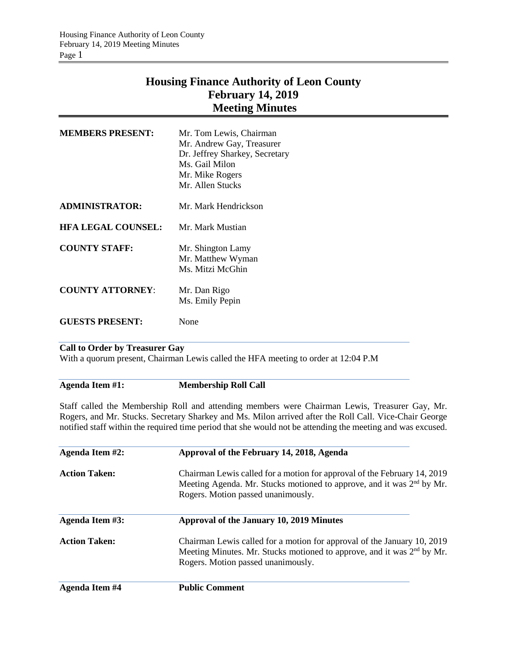## **Housing Finance Authority of Leon County February 14, 2019 Meeting Minutes**

| <b>MEMBERS PRESENT:</b>   | Mr. Tom Lewis, Chairman<br>Mr. Andrew Gay, Treasurer<br>Dr. Jeffrey Sharkey, Secretary<br>Ms. Gail Milon<br>Mr. Mike Rogers<br>Mr. Allen Stucks |
|---------------------------|-------------------------------------------------------------------------------------------------------------------------------------------------|
| <b>ADMINISTRATOR:</b>     | Mr. Mark Hendrickson                                                                                                                            |
| <b>HFA LEGAL COUNSEL:</b> | Mr. Mark Mustian                                                                                                                                |
| <b>COUNTY STAFF:</b>      | Mr. Shington Lamy<br>Mr. Matthew Wyman<br>Ms. Mitzi McGhin                                                                                      |
| <b>COUNTY ATTORNEY:</b>   | Mr. Dan Rigo<br>Ms. Emily Pepin                                                                                                                 |
| <b>GUESTS PRESENT:</b>    | None                                                                                                                                            |

## **Call to Order by Treasurer Gay**

With a quorum present, Chairman Lewis called the HFA meeting to order at 12:04 P.M

## **Agenda Item #1: Membership Roll Call**

Staff called the Membership Roll and attending members were Chairman Lewis, Treasurer Gay, Mr. Rogers, and Mr. Stucks. Secretary Sharkey and Ms. Milon arrived after the Roll Call. Vice-Chair George notified staff within the required time period that she would not be attending the meeting and was excused.

| Agenda Item #2:        | Approval of the February 14, 2018, Agenda                                                                                                                                                           |  |  |
|------------------------|-----------------------------------------------------------------------------------------------------------------------------------------------------------------------------------------------------|--|--|
| <b>Action Taken:</b>   | Chairman Lewis called for a motion for approval of the February 14, 2019<br>Meeting Agenda. Mr. Stucks motioned to approve, and it was 2 <sup>nd</sup> by Mr.<br>Rogers. Motion passed unanimously. |  |  |
| <b>Agenda Item #3:</b> | Approval of the January 10, 2019 Minutes                                                                                                                                                            |  |  |
| <b>Action Taken:</b>   | Chairman Lewis called for a motion for approval of the January 10, 2019<br>Meeting Minutes. Mr. Stucks motioned to approve, and it was 2 <sup>nd</sup> by Mr.<br>Rogers. Motion passed unanimously. |  |  |
| Agenda Item #4         | <b>Public Comment</b>                                                                                                                                                                               |  |  |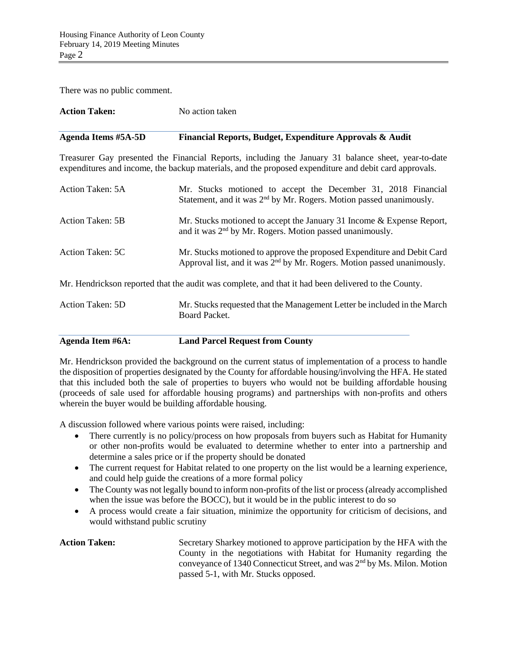There was no public comment.

| <b>Action Taken:</b>       | No action taken                                                                                                                                                                                              |  |  |
|----------------------------|--------------------------------------------------------------------------------------------------------------------------------------------------------------------------------------------------------------|--|--|
| <b>Agenda Items #5A-5D</b> | Financial Reports, Budget, Expenditure Approvals & Audit                                                                                                                                                     |  |  |
|                            | Treasurer Gay presented the Financial Reports, including the January 31 balance sheet, year-to-date<br>expenditures and income, the backup materials, and the proposed expenditure and debit card approvals. |  |  |
| Action Taken: 5A           | Mr. Stucks motioned to accept the December 31, 2018 Financial<br>Statement, and it was $2nd$ by Mr. Rogers. Motion passed unanimously.                                                                       |  |  |
| <b>Action Taken: 5B</b>    | Mr. Stucks motioned to accept the January 31 Income & Expense Report,<br>and it was 2 <sup>nd</sup> by Mr. Rogers. Motion passed unanimously.                                                                |  |  |
| Action Taken: 5C           | Mr. Stucks motioned to approve the proposed Expenditure and Debit Card<br>Approval list, and it was 2 <sup>nd</sup> by Mr. Rogers. Motion passed unanimously.                                                |  |  |
|                            | Mr. Hendrickson reported that the audit was complete, and that it had been delivered to the County.                                                                                                          |  |  |
| Action Taken: 5D           | Mr. Stucks requested that the Management Letter be included in the March<br>Board Packet.                                                                                                                    |  |  |
| Agenda Item #6A:           | <b>Land Parcel Request from County</b>                                                                                                                                                                       |  |  |

Mr. Hendrickson provided the background on the current status of implementation of a process to handle the disposition of properties designated by the County for affordable housing/involving the HFA. He stated that this included both the sale of properties to buyers who would not be building affordable housing (proceeds of sale used for affordable housing programs) and partnerships with non-profits and others wherein the buyer would be building affordable housing.

A discussion followed where various points were raised, including:

- There currently is no policy/process on how proposals from buyers such as Habitat for Humanity or other non-profits would be evaluated to determine whether to enter into a partnership and determine a sales price or if the property should be donated
- The current request for Habitat related to one property on the list would be a learning experience, and could help guide the creations of a more formal policy
- The County was not legally bound to inform non-profits of the list or process (already accomplished when the issue was before the BOCC), but it would be in the public interest to do so
- A process would create a fair situation, minimize the opportunity for criticism of decisions, and would withstand public scrutiny

Action Taken: Secretary Sharkey motioned to approve participation by the HFA with the County in the negotiations with Habitat for Humanity regarding the conveyance of 1340 Connecticut Street, and was 2nd by Ms. Milon. Motion passed 5-1, with Mr. Stucks opposed.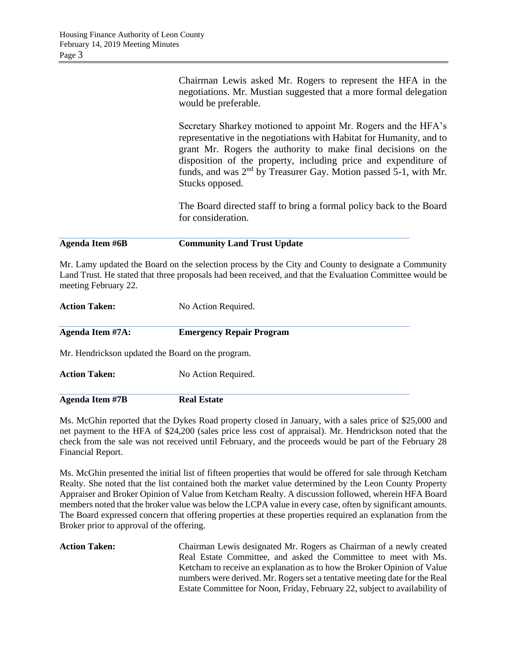| Agenda Item #6B | <b>Community Land Trust Update</b>                                                                                                                                                                                                                                                                                                                                  |  |  |
|-----------------|---------------------------------------------------------------------------------------------------------------------------------------------------------------------------------------------------------------------------------------------------------------------------------------------------------------------------------------------------------------------|--|--|
|                 | The Board directed staff to bring a formal policy back to the Board<br>for consideration.                                                                                                                                                                                                                                                                           |  |  |
|                 | Secretary Sharkey motioned to appoint Mr. Rogers and the HFA's<br>representative in the negotiations with Habitat for Humanity, and to<br>grant Mr. Rogers the authority to make final decisions on the<br>disposition of the property, including price and expenditure of<br>funds, and was $2nd$ by Treasurer Gay. Motion passed 5-1, with Mr.<br>Stucks opposed. |  |  |
|                 | Chairman Lewis asked Mr. Rogers to represent the HFA in the<br>negotiations. Mr. Mustian suggested that a more formal delegation<br>would be preferable.                                                                                                                                                                                                            |  |  |

Mr. Lamy updated the Board on the selection process by the City and County to designate a Community Land Trust. He stated that three proposals had been received, and that the Evaluation Committee would be meeting February 22.

| <b>Action Taken:</b>                              | No Action Required.             |  |
|---------------------------------------------------|---------------------------------|--|
| Agenda Item #7A:                                  | <b>Emergency Repair Program</b> |  |
| Mr. Hendrickson updated the Board on the program. |                                 |  |
| <b>Action Taken:</b>                              | No Action Required.             |  |
| <b>Agenda Item #7B</b>                            | <b>Real Estate</b>              |  |

Ms. McGhin reported that the Dykes Road property closed in January, with a sales price of \$25,000 and net payment to the HFA of \$24,200 (sales price less cost of appraisal). Mr. Hendrickson noted that the check from the sale was not received until February, and the proceeds would be part of the February 28 Financial Report.

Ms. McGhin presented the initial list of fifteen properties that would be offered for sale through Ketcham Realty. She noted that the list contained both the market value determined by the Leon County Property Appraiser and Broker Opinion of Value from Ketcham Realty. A discussion followed, wherein HFA Board members noted that the broker value was below the LCPA value in every case, often by significant amounts. The Board expressed concern that offering properties at these properties required an explanation from the Broker prior to approval of the offering.

Action Taken: Chairman Lewis designated Mr. Rogers as Chairman of a newly created Real Estate Committee, and asked the Committee to meet with Ms. Ketcham to receive an explanation as to how the Broker Opinion of Value numbers were derived. Mr. Rogers set a tentative meeting date for the Real Estate Committee for Noon, Friday, February 22, subject to availability of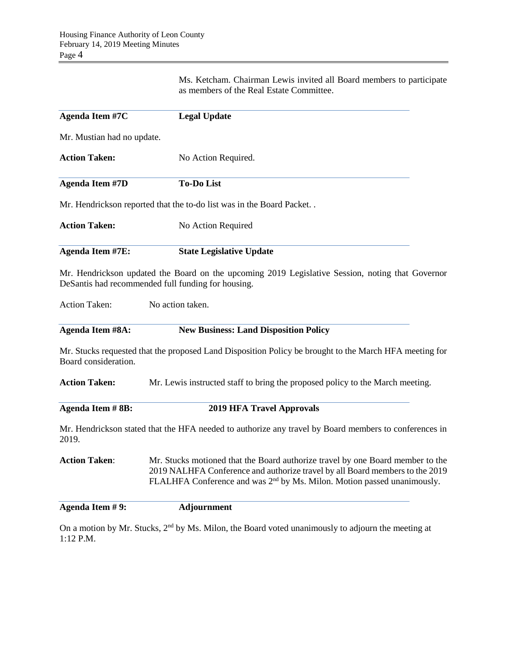Ms. Ketcham. Chairman Lewis invited all Board members to participate as members of the Real Estate Committee.

| <b>Agenda Item #7C</b>     | <b>Legal Update</b>                                                                                                                                                                                                                                   |  |  |  |  |
|----------------------------|-------------------------------------------------------------------------------------------------------------------------------------------------------------------------------------------------------------------------------------------------------|--|--|--|--|
| Mr. Mustian had no update. |                                                                                                                                                                                                                                                       |  |  |  |  |
| <b>Action Taken:</b>       | No Action Required.                                                                                                                                                                                                                                   |  |  |  |  |
| <b>Agenda Item #7D</b>     | <b>To-Do List</b>                                                                                                                                                                                                                                     |  |  |  |  |
|                            | Mr. Hendrickson reported that the to-do list was in the Board Packet                                                                                                                                                                                  |  |  |  |  |
| <b>Action Taken:</b>       | No Action Required                                                                                                                                                                                                                                    |  |  |  |  |
| <b>Agenda Item #7E:</b>    | <b>State Legislative Update</b>                                                                                                                                                                                                                       |  |  |  |  |
|                            | Mr. Hendrickson updated the Board on the upcoming 2019 Legislative Session, noting that Governor<br>DeSantis had recommended full funding for housing.                                                                                                |  |  |  |  |
| <b>Action Taken:</b>       | No action taken.                                                                                                                                                                                                                                      |  |  |  |  |
| <b>Agenda Item #8A:</b>    | <b>New Business: Land Disposition Policy</b>                                                                                                                                                                                                          |  |  |  |  |
| Board consideration.       | Mr. Stucks requested that the proposed Land Disposition Policy be brought to the March HFA meeting for                                                                                                                                                |  |  |  |  |
| <b>Action Taken:</b>       | Mr. Lewis instructed staff to bring the proposed policy to the March meeting.                                                                                                                                                                         |  |  |  |  |
| <b>Agenda Item #8B:</b>    | <b>2019 HFA Travel Approvals</b>                                                                                                                                                                                                                      |  |  |  |  |
| 2019.                      | Mr. Hendrickson stated that the HFA needed to authorize any travel by Board members to conferences in                                                                                                                                                 |  |  |  |  |
| <b>Action Taken:</b>       | Mr. Stucks motioned that the Board authorize travel by one Board member to the<br>2019 NALHFA Conference and authorize travel by all Board members to the 2019<br>FLALHFA Conference and was 2 <sup>nd</sup> by Ms. Milon. Motion passed unanimously. |  |  |  |  |
| Agenda Item #9:            | <b>Adjournment</b>                                                                                                                                                                                                                                    |  |  |  |  |
| 1:12 P.M.                  | On a motion by Mr. Stucks, 2 <sup>nd</sup> by Ms. Milon, the Board voted unanimously to adjourn the meeting at                                                                                                                                        |  |  |  |  |